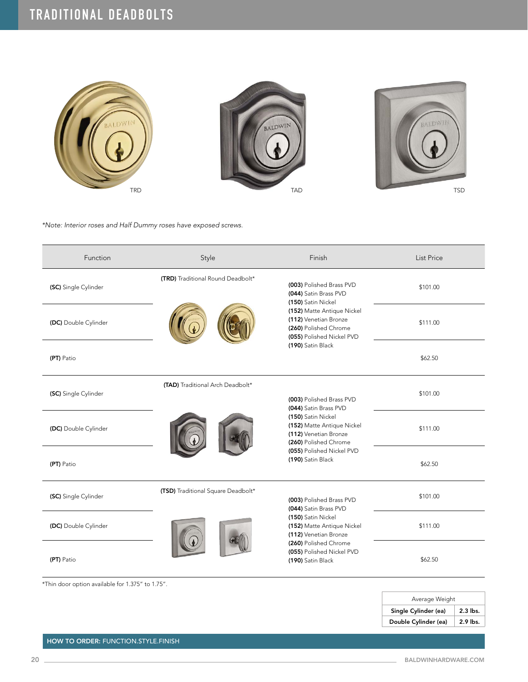

*\*Note: Interior roses and Half Dummy roses have exposed screws.*

| Function             | Style                              | Finish                                                                                                                                                                                                    | <b>List Price</b> |
|----------------------|------------------------------------|-----------------------------------------------------------------------------------------------------------------------------------------------------------------------------------------------------------|-------------------|
| (SC) Single Cylinder | (TRD) Traditional Round Deadbolt*  | (003) Polished Brass PVD<br>(044) Satin Brass PVD<br>(150) Satin Nickel<br>(152) Matte Antique Nickel<br>(112) Venetian Bronze<br>(260) Polished Chrome<br>(055) Polished Nickel PVD<br>(190) Satin Black | \$101.00          |
| (DC) Double Cylinder |                                    |                                                                                                                                                                                                           | \$111.00          |
| (PT) Patio           |                                    |                                                                                                                                                                                                           | \$62.50           |
| (SC) Single Cylinder | (TAD) Traditional Arch Deadbolt*   | (003) Polished Brass PVD<br>(044) Satin Brass PVD<br>(150) Satin Nickel<br>(152) Matte Antique Nickel<br>(112) Venetian Bronze<br>(260) Polished Chrome<br>(055) Polished Nickel PVD<br>(190) Satin Black | \$101.00          |
| (DC) Double Cylinder |                                    |                                                                                                                                                                                                           | \$111.00          |
| (PT) Patio           |                                    |                                                                                                                                                                                                           | \$62.50           |
| (SC) Single Cylinder | (TSD) Traditional Square Deadbolt* | (003) Polished Brass PVD<br>(044) Satin Brass PVD<br>(150) Satin Nickel<br>(152) Matte Antique Nickel<br>(112) Venetian Bronze<br>(260) Polished Chrome<br>(055) Polished Nickel PVD<br>(190) Satin Black | \$101.00          |
| (DC) Double Cylinder |                                    |                                                                                                                                                                                                           | \$111.00          |
| (PT) Patio           |                                    |                                                                                                                                                                                                           | \$62.50           |

\*Thin door option available for 1.375" to 1.75".

| Average Weight       |            |  |
|----------------------|------------|--|
| Single Cylinder (ea) | $2.3$ lbs. |  |
| Double Cylinder (ea) | 2.9 lbs.   |  |

HOW TO ORDER: FUNCTION.STYLE.FINISH